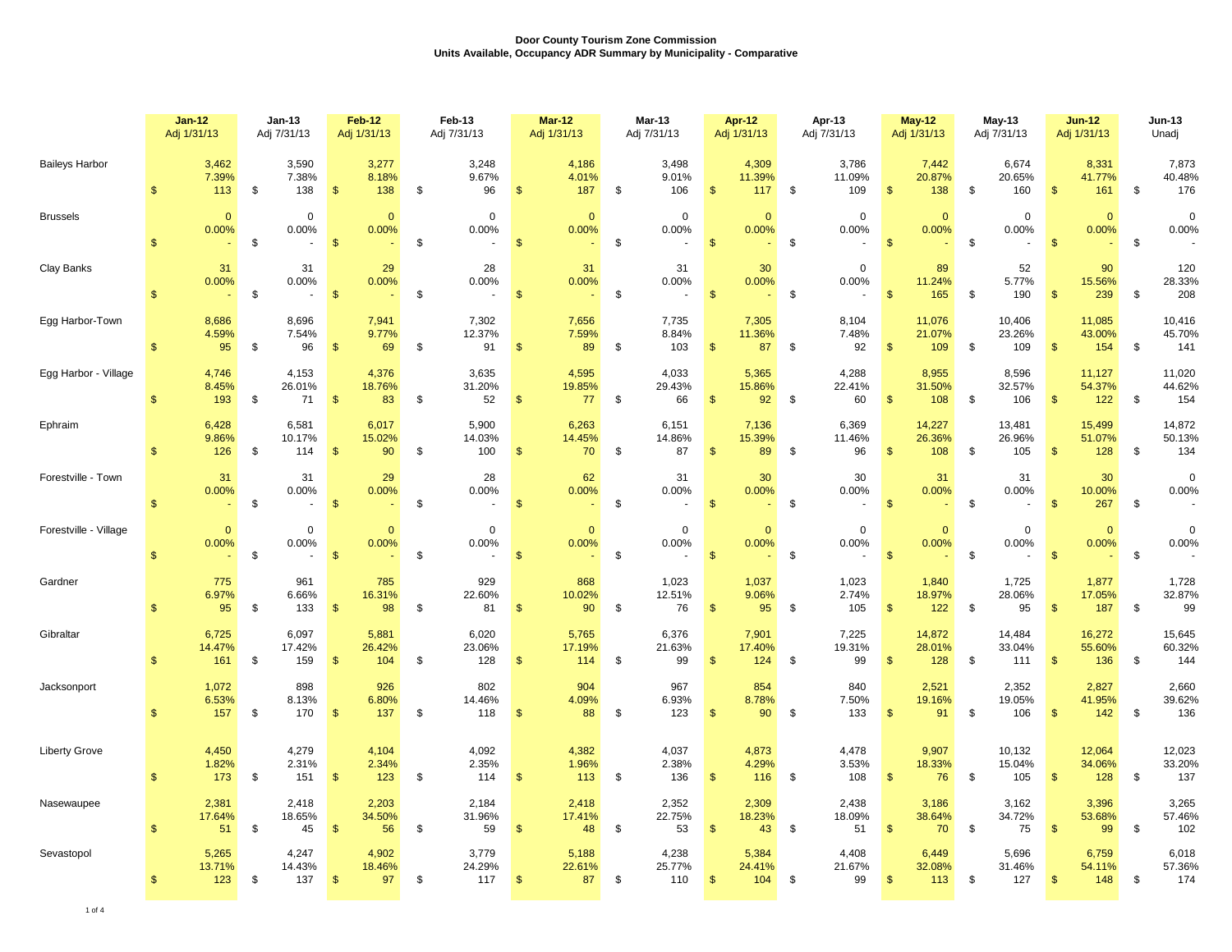|                       | $Jan-12$<br>Adj 1/31/13 |                        | $Jan-13$<br>Adj 7/31/13      |                          | <b>Feb-12</b><br>Adj 1/31/13 | Feb-13<br>Adj 7/31/13                         | <b>Mar-12</b><br>Adj 1/31/13            | <b>Mar-13</b><br>Adj 7/31/13         | Apr-12<br>Adj 1/31/13                       |            | Apr-13<br>Adj 7/31/13  |                | <b>May-12</b><br>Adj 1/31/13 | $May-13$<br>Adj 7/31/13       |               | $Jun-12$<br>Adj 1/31/13 |               | <b>Jun-13</b><br>Unadj  |
|-----------------------|-------------------------|------------------------|------------------------------|--------------------------|------------------------------|-----------------------------------------------|-----------------------------------------|--------------------------------------|---------------------------------------------|------------|------------------------|----------------|------------------------------|-------------------------------|---------------|-------------------------|---------------|-------------------------|
| <b>Baileys Harbor</b> | $\mathcal{F}$           | 3,462<br>7.39%<br>113  | 3,590<br>7.38%<br>138<br>\$  | $\mathfrak{s}$           | 3,277<br>8.18%<br>138        | 3,248<br>9.67%<br>\$<br>96                    | 4,186<br>4.01%<br>$\mathbf{s}$<br>187   | \$<br>3.498<br>9.01%<br>106          | 4,309<br>11.39%<br>$\mathbf{s}$<br>117      | <b>S</b>   | 3.786<br>11.09%<br>109 | $\mathbf{\$}$  | 7,442<br>20.87%<br>138       | \$<br>6,674<br>20.65%<br>160  | $\mathbf{s}$  | 8,331<br>41.77%<br>161  | \$            | 7,873<br>40.48%<br>176  |
| <b>Brussels</b>       | $\mathcal{F}$           | $\mathbf{0}$<br>0.00%  | $\mathbf 0$<br>0.00%<br>\$   | $\sqrt[6]{3}$<br>$\sim$  | $\mathbf{0}$<br>0.00%        | $\mathbf{0}$<br>0.00%<br>\$<br>$\blacksquare$ | $\overline{0}$<br>0.00%<br>$\mathbf{s}$ | \$<br>$\mathbf 0$<br>0.00%<br>$\sim$ | $\mathbf{0}$<br>0.00%<br>$$^{\circ}$        | \$         | $\mathbf 0$<br>0.00%   | $\mathbf{s}$   | $\mathbf{0}$<br>0.00%        | \$<br>$\Omega$<br>0.00%       | $\mathbf{s}$  | $\mathbf{0}$<br>0.00%   | \$            | $\mathbf 0$<br>0.00%    |
| Clay Banks            | $\mathbb{S}$            | 31<br>0.00%            | 31<br>0.00%<br>\$            | $\mathfrak{s}$<br>$\sim$ | 29<br>0.00%                  | 28<br>0.00%<br>\$<br>$\blacksquare$           | 31<br>0.00%<br>\$                       | \$<br>31<br>0.00%                    | 30<br>0.00%<br>$\mathbf{s}$                 | - \$       | $\mathbf 0$<br>0.00%   | $\mathbf{s}$   | 89<br>11.24%<br>165          | \$<br>52<br>5.77%<br>190      | $\mathbf{\$}$ | 90<br>15.56%<br>239     | \$            | 120<br>28.33%<br>208    |
| Egg Harbor-Town       | $\mathbb{S}$            | 8,686<br>4.59%<br>95   | 8,696<br>7.54%<br>96<br>\$   | $\sqrt[6]{3}$            | 7,941<br>9.77%<br>69         | 7,302<br>12.37%<br>91<br>\$                   | 7,656<br>7.59%<br>89<br>$\sqrt[6]{3}$   | \$<br>7,735<br>8.84%<br>103          | 7,305<br>11.36%<br>$\sqrt{3}$<br>87         | $\sqrt{3}$ | 8,104<br>7.48%<br>92   | $\sqrt{2}$     | 11,076<br>21.07%<br>109      | \$<br>10,406<br>23.26%<br>109 | $\sqrt{3}$    | 11,085<br>43.00%<br>154 | \$            | 10,416<br>45.70%<br>141 |
| Egg Harbor - Village  | $\mathbb{S}$            | 4,746<br>8.45%<br>193  | 4,153<br>26.01%<br>\$<br>71  | $\mathbf{\$}$            | 4,376<br>18.76%<br>83        | 3,635<br>31.20%<br>\$<br>52                   | 4,595<br>19.85%<br>$\mathfrak{s}$<br>77 | \$<br>4,033<br>29.43%<br>66          | 5,365<br>15.86%<br>$\mathsf{\$}$<br>92      | - \$       | 4,288<br>22.41%<br>60  | $\mathbf{\$}$  | 8,955<br>31.50%<br>108       | \$<br>8,596<br>32.57%<br>106  | $\mathbf{\$}$ | 11,127<br>54.37%<br>122 | \$            | 11,020<br>44.62%<br>154 |
| Ephraim               | $\mathbf{\hat{f}}$      | 6,428<br>9.86%<br>126  | 6,581<br>10.17%<br>114<br>\$ | $\sqrt[6]{3}$            | 6,017<br>15.02%<br>90        | 5,900<br>14.03%<br>\$<br>100                  | 6,263<br>14.45%<br>70<br>$\frac{3}{2}$  | \$<br>6,151<br>14.86%<br>87          | 7,136<br>15.39%<br>$\sqrt{2}$<br>89         | \$         | 6,369<br>11.46%<br>96  | $\sqrt[6]{3}$  | 14,227<br>26.36%<br>108      | \$<br>13,481<br>26.96%<br>105 | $\sqrt[6]{3}$ | 15,499<br>51.07%<br>128 | \$            | 14,872<br>50.13%<br>134 |
| Forestville - Town    | $\mathfrak{s}$          | 31<br>0.00%            | 31<br>0.00%<br>\$            | $\sqrt[6]{3}$            | 29<br>0.00%                  | 28<br>0.00%<br>\$<br>$\overline{\phantom{a}}$ | 62<br>0.00%<br>$\sqrt[6]{3}$            | \$<br>31<br>0.00%                    | 30<br>0.00%<br>$\sqrt{2}$                   | \$         | 30<br>0.00%            | $\sqrt[6]{3}$  | 31<br>0.00%                  | \$<br>31<br>0.00%             | $\frac{3}{2}$ | 30<br>10.00%<br>267     | \$            | $\mathbf 0$<br>0.00%    |
| Forestville - Village | $\mathcal{F}$           | $\mathbf{0}$<br>0.00%  | $\mathbf 0$<br>0.00%<br>\$   | $\sqrt[6]{3}$            | $\Omega$<br>0.00%            | $\mathbf{0}$<br>0.00%<br>\$                   | $\mathbf{0}$<br>0.00%<br>$\frac{1}{2}$  | \$<br>$\Omega$<br>0.00%              | $\Omega$<br>0.00%<br>$\sqrt{3}$             | \$         | $\mathbf 0$<br>0.00%   | $\sqrt[6]{3}$  | $\mathbf 0$<br>0.00%         | \$<br>$\Omega$<br>0.00%       | $\sqrt{3}$    | $\mathbf{0}$<br>0.00%   | $\sqrt[6]{3}$ | $\mathbf 0$<br>0.00%    |
| Gardner               | $\mathbf{s}$            | 775<br>6.97%<br>95     | 961<br>6.66%<br>133<br>\$    | $\sqrt[6]{3}$            | 785<br>16.31%<br>98          | 929<br>22.60%<br>\$<br>81                     | 868<br>10.02%<br>90<br>$\mathfrak{s}$   | \$<br>1,023<br>12.51%<br>76          | 1,037<br>9.06%<br>$\mathbf{\$}$<br>95       | \$         | 1,023<br>2.74%<br>105  | $\sqrt[6]{3}$  | 1,840<br>18.97%<br>$122$     | \$<br>1,725<br>28.06%<br>95   | $\mathbf{\$}$ | 1,877<br>17.05%<br>187  | \$            | 1,728<br>32.87%<br>99   |
| Gibraltar             | $\mathbf{s}$            | 6,725<br>14.47%<br>161 | 6,097<br>17.42%<br>159<br>\$ | $\sqrt[6]{3}$            | 5,881<br>26.42%<br>104       | 6,020<br>23.06%<br>128<br>\$                  | 5,765<br>17.19%<br>114<br>$\frac{1}{2}$ | \$<br>6,376<br>21.63%<br>99          | 7,901<br>17.40%<br>-\$<br>124               | \$         | 7,225<br>19.31%<br>99  | $\sqrt[6]{3}$  | 14,872<br>28.01%<br>128      | \$<br>14,484<br>33.04%<br>111 | $\sqrt[6]{3}$ | 16,272<br>55.60%<br>136 | \$            | 15,645<br>60.32%<br>144 |
| Jacksonport           | $\mathcal{F}$           | 1,072<br>6.53%<br>157  | 898<br>8.13%<br>170<br>\$    | $\sqrt{3}$               | 926<br>6.80%<br>137          | 802<br>14.46%<br>\$<br>118                    | 904<br>4.09%<br>88<br>$\frac{1}{2}$     | \$<br>967<br>6.93%<br>123            | 854<br>8.78%<br>$\mathbf{\$}$<br>90         | \$         | 840<br>7.50%<br>133    | $\mathfrak{s}$ | 2,521<br>19.16%<br>91        | \$<br>2,352<br>19.05%<br>106  | $\mathbf{\$}$ | 2,827<br>41.95%<br>142  | \$            | 2,660<br>39.62%<br>136  |
| <b>Liberty Grove</b>  | $\mathbf{s}$            | 4,450<br>1.82%<br>173  | 4,279<br>2.31%<br>\$<br>151  | $\sqrt[6]{3}$            | 4,104<br>2.34%<br>123        | 4,092<br>2.35%<br>\$<br>114                   | 4,382<br>1.96%<br>113<br>$\frac{1}{2}$  | \$<br>4,037<br>2.38%<br>136          | 4,873<br>4.29%<br>$\mathsf{\$}$<br>116      | \$         | 4,478<br>3.53%<br>108  | $\mathbf{\$}$  | 9,907<br>18.33%<br>76        | \$<br>10,132<br>15.04%<br>105 | $\mathbf{\$}$ | 12,064<br>34.06%<br>128 | \$            | 12,023<br>33.20%<br>137 |
| Nasewaupee            | $\mathbf{\$}$           | 2,381<br>17.64%<br>51  | 2,418<br>18.65%<br>45<br>\$  | $\sqrt[6]{3}$            | 2,203<br>34.50%<br>56        | 2,184<br>31.96%<br>59<br>\$                   | 2,418<br>17.41%<br>48<br>$\frac{1}{2}$  | \$<br>2,352<br>22.75%<br>53          | 2,309<br>18.23%<br>$\mathbf{\hat{s}}$<br>43 | \$         | 2,438<br>18.09%<br>51  | $\mathfrak{s}$ | 3,186<br>38.64%<br>70        | \$<br>3,162<br>34.72%<br>75   | $\mathbf{\$}$ | 3,396<br>53.68%<br>99   | \$            | 3,265<br>57.46%<br>102  |
| Sevastopol            | $\mathfrak{s}$          | 5,265<br>13.71%<br>123 | 4,247<br>14.43%<br>137<br>\$ | $\sqrt[6]{3}$            | 4,902<br>18.46%<br>97        | 3,779<br>24.29%<br>\$<br>117                  | 5,188<br>22.61%<br>$\sqrt[6]{3}$<br>87  | \$<br>4,238<br>25.77%<br>110         | 5,384<br>24.41%<br>$\sqrt{3}$<br>104        | \$         | 4,408<br>21.67%<br>99  | $\sqrt[6]{3}$  | 6,449<br>32.08%<br>113       | \$<br>5,696<br>31.46%<br>127  | $\sqrt{3}$    | 6,759<br>54.11%<br>148  | \$            | 6,018<br>57.36%<br>174  |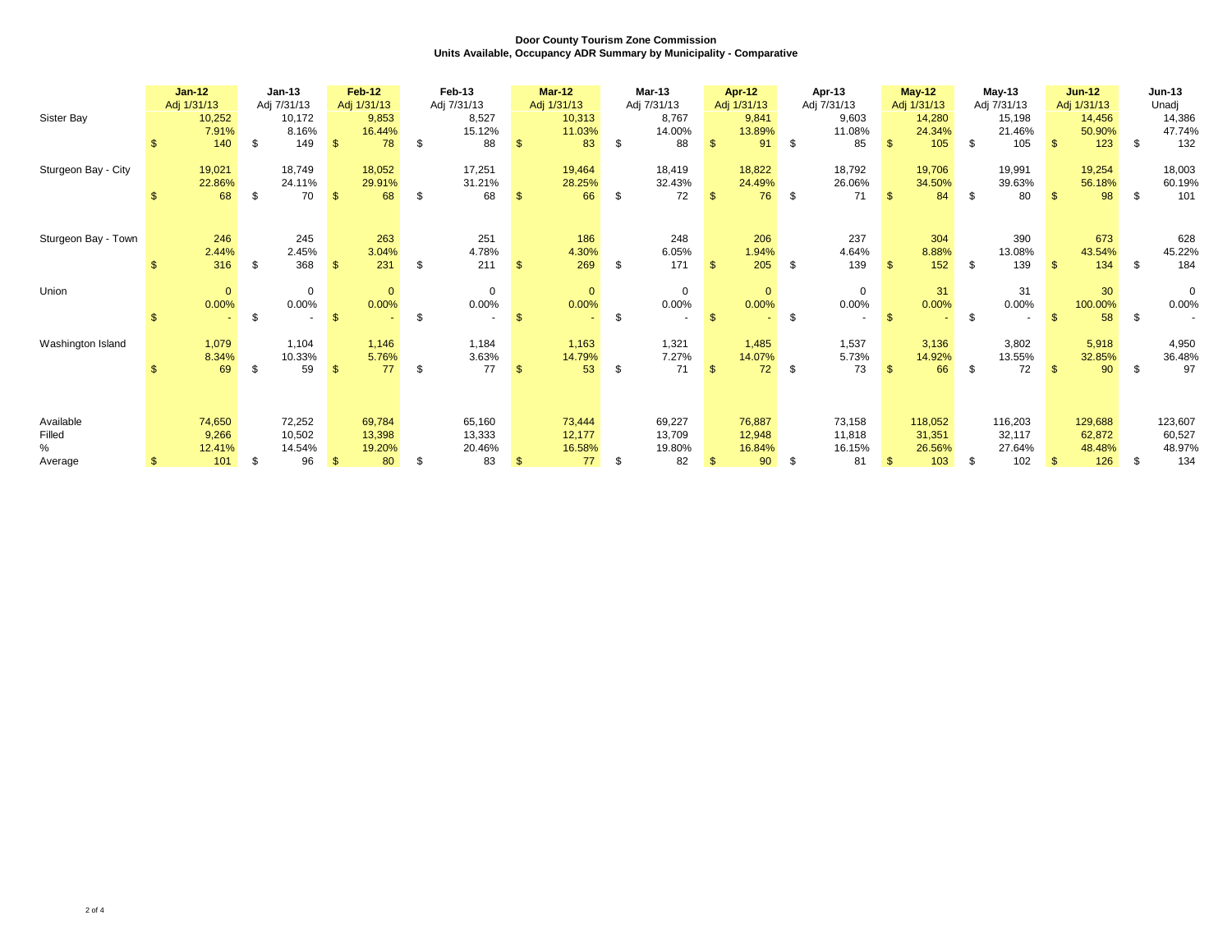|                                     |     | $Jan-12$<br>Adj 1/31/13          | $Jan-13$<br>Adj 7/31/13                |                | <b>Feb-12</b><br>Adj 1/31/13     |     | Feb-13<br>Adj 7/31/13            |              | $Mar-12$<br>Adj 1/31/13          | Mar-13<br>Adj 7/31/13                  |                | <b>Apr-12</b><br>Adj 1/31/13     |      | Apr-13<br>Adj 7/31/13            |              | <b>May-12</b><br>Adj 1/31/13       | May-13<br>Adj 7/31/13                    |              | $Jun-12$<br>Adj 1/31/13            |      | <b>Jun-13</b><br>Unadj             |
|-------------------------------------|-----|----------------------------------|----------------------------------------|----------------|----------------------------------|-----|----------------------------------|--------------|----------------------------------|----------------------------------------|----------------|----------------------------------|------|----------------------------------|--------------|------------------------------------|------------------------------------------|--------------|------------------------------------|------|------------------------------------|
| Sister Bay                          | \$. | 10,252<br>7.91%<br>140           | \$<br>10,172<br>8.16%<br>149           | $\mathbf{\$}$  | 9,853<br>16.44%<br>78            | -\$ | 8,527<br>15.12%<br>88            | $\mathbf{s}$ | 10,313<br>11.03%<br>83           | \$<br>8,767<br>14.00%<br>88            | $\mathbf{\$}$  | 9,841<br>13.89%<br>91            | \$   | 9,603<br>11.08%<br>85            | $\mathbb{S}$ | 14,280<br>24.34%<br>105            | \$<br>15,198<br>21.46%<br>105            | $\mathbf{f}$ | 14,456<br>50.90%<br>123            | \$   | 14,386<br>47.74%<br>132            |
| Sturgeon Bay - City                 |     | 19,021<br>22.86%<br>68           | \$<br>18,749<br>24.11%<br>70           | $\mathfrak{s}$ | 18,052<br>29.91%<br>68           | -\$ | 17,251<br>31.21%<br>68           | \$           | 19,464<br>28.25%<br>66           | \$<br>18,419<br>32.43%<br>72           | $\mathbf{\$}$  | 18,822<br>24.49%<br>76           | - \$ | 18,792<br>26.06%<br>71           | $\mathbb{S}$ | 19,706<br>34.50%<br>84             | \$<br>19,991<br>39.63%<br>80             | $\mathbf{R}$ | 19,254<br>56.18%<br>98             | \$   | 18,003<br>60.19%<br>101            |
| Sturgeon Bay - Town                 |     | 246<br>2.44%<br>316              | \$<br>245<br>2.45%<br>368              | $\mathbf{s}$   | 263<br>3.04%<br>231              | -\$ | 251<br>4.78%<br>211              | $\mathbb{S}$ | 186<br>4.30%<br>269              | \$<br>248<br>6.05%<br>171              | $\mathcal{L}$  | 206<br>1.94%<br>205              | - \$ | 237<br>4.64%<br>139              | $\mathbf{s}$ | 304<br>8.88%<br>152                | \$<br>390<br>13.08%<br>139               | $\mathbf{R}$ | 673<br>43.54%<br>134               | - \$ | 628<br>45.22%<br>184               |
| Union                               |     | $\mathbf{0}$<br>0.00%            | \$<br>$\mathbf 0$<br>0.00%             | $\mathbf{\$}$  | $\mathbf{0}$<br>0.00%            | \$  | $\mathbf 0$<br>0.00%             | $\mathbf{s}$ | $\mathbf{0}$<br>0.00%            | \$<br>$\mathbf 0$<br>0.00%             | -\$            | $\mathbf{0}$<br>0.00%            | \$   | $\mathbf 0$<br>$0.00\%$          | $\mathbf{s}$ | 31<br>0.00%                        | \$<br>31<br>0.00%                        |              | 30<br>100.00%<br>58                | \$   | $\Omega$<br>0.00%                  |
| Washington Island                   |     | 1,079<br>8.34%<br>69             | \$<br>1,104<br>10.33%<br>59            | $\mathfrak{s}$ | 1,146<br>5.76%<br>77             | \$  | 1,184<br>3.63%<br>77             | $\mathbf{s}$ | 1,163<br>14.79%<br>53            | \$<br>1,321<br>7.27%<br>71             | $\mathbf{\$}$  | 1,485<br>14.07%<br>72            | \$   | 1,537<br>5.73%<br>73             | $\mathbb{S}$ | 3,136<br>14.92%<br>66              | \$<br>3,802<br>13.55%<br>72              |              | 5,918<br>32.85%<br>90              | \$   | 4,950<br>36.48%<br>97              |
| Available<br>Filled<br>%<br>Average |     | 74,650<br>9,266<br>12.41%<br>101 | \$<br>72,252<br>10,502<br>14.54%<br>96 | $\mathfrak{s}$ | 69,784<br>13,398<br>19.20%<br>80 | -\$ | 65,160<br>13,333<br>20.46%<br>83 | $\mathbf{s}$ | 73,444<br>12,177<br>16.58%<br>77 | \$<br>69,227<br>13,709<br>19.80%<br>82 | $\mathfrak{L}$ | 76,887<br>12,948<br>16.84%<br>90 | \$   | 73,158<br>11,818<br>16.15%<br>81 | $\mathbb{S}$ | 118,052<br>31,351<br>26.56%<br>103 | \$<br>116,203<br>32,117<br>27.64%<br>102 | $\mathbf{S}$ | 129,688<br>62,872<br>48.48%<br>126 | - \$ | 123,607<br>60,527<br>48.97%<br>134 |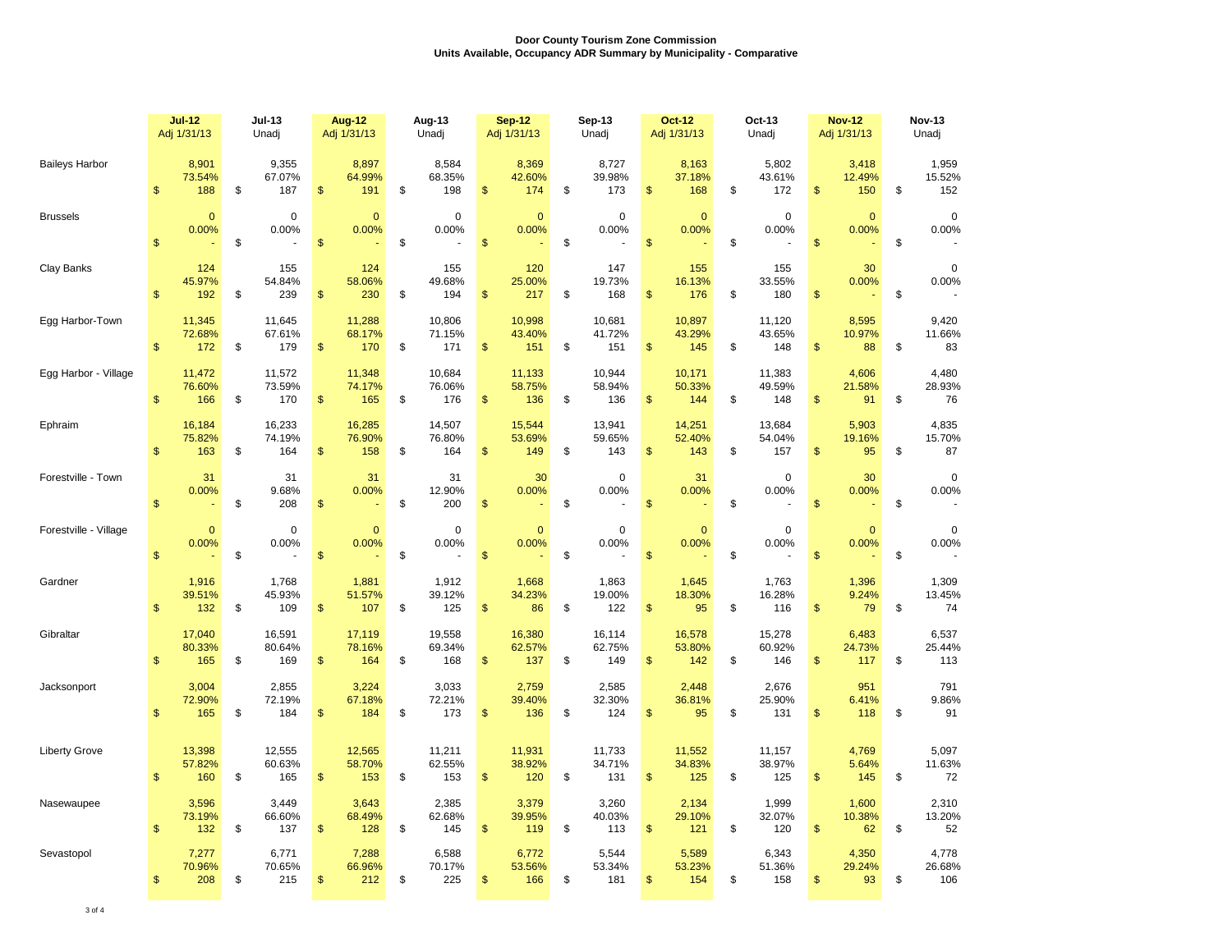|                       |                | <b>Jul-12</b><br><b>Jul-13</b><br>Adj 1/31/13<br>Unadj |    | <b>Aug-12</b><br>Aug-13<br>Adj 1/31/13<br>Unadj |               |                         | <b>Sep-12</b><br>Sep-13<br>Adj 1/31/13<br>Unadj |                         |                         |                         | <b>Oct-12</b><br>Oct-13<br>Adj 1/31/13<br>Unadj |                         |                                         |    | <b>Nov-12</b><br>Adj 1/31/13 | <b>Nov-13</b><br>Unadj |                        |    |                        |
|-----------------------|----------------|--------------------------------------------------------|----|-------------------------------------------------|---------------|-------------------------|-------------------------------------------------|-------------------------|-------------------------|-------------------------|-------------------------------------------------|-------------------------|-----------------------------------------|----|------------------------------|------------------------|------------------------|----|------------------------|
| <b>Baileys Harbor</b> | \$             | 8,901<br>73.54%<br>188                                 | \$ | 9,355<br>67.07%<br>187                          | \$            | 8,897<br>64.99%<br>191  | \$                                              | 8,584<br>68.35%<br>198  | \$                      | 8,369<br>42.60%<br>174  | \$                                              | 8,727<br>39.98%<br>173  | 8,163<br>37.18%<br>\$<br>168            | \$ | 5,802<br>43.61%<br>172       | \$                     | 3,418<br>12.49%<br>150 | \$ | 1,959<br>15.52%<br>152 |
| <b>Brussels</b>       | $\mathbf{s}$   | $\mathbf{0}$<br>0.00%                                  | \$ | 0<br>0.00%                                      | \$            | $\mathbf{0}$<br>0.00%   | \$                                              | $\mathbf 0$<br>0.00%    | \$                      | $\mathbf{0}$<br>0.00%   | \$                                              | $\mathbf 0$<br>0.00%    | $\mathbf{0}$<br>0.00%<br>\$             | \$ | $\mathbf 0$<br>0.00%         | $\mathsf{s}$           | $\mathbf{0}$<br>0.00%  | \$ | $\mathbf 0$<br>0.00%   |
| Clay Banks            | $\mathsf{\$}$  | 124<br>45.97%<br>192                                   | \$ | 155<br>54.84%<br>239                            | \$            | 124<br>58.06%<br>230    | \$                                              | 155<br>49.68%<br>194    | \$                      | 120<br>25.00%<br>217    | \$                                              | 147<br>19.73%<br>168    | 155<br>16.13%<br>$\mathsf{\$}$<br>176   | \$ | 155<br>33.55%<br>180         | $\mathsf{\$}$          | 30<br>0.00%            | \$ | $\Omega$<br>0.00%      |
| Egg Harbor-Town       | $\mathfrak{s}$ | 11,345<br>72.68%<br>172                                | \$ | 11,645<br>67.61%<br>179                         | \$            | 11,288<br>68.17%<br>170 | \$                                              | 10,806<br>71.15%<br>171 | \$                      | 10,998<br>43.40%<br>151 | \$                                              | 10,681<br>41.72%<br>151 | 10,897<br>43.29%<br>\$<br>145           | \$ | 11,120<br>43.65%<br>148      | $\mathsf{\$}$          | 8,595<br>10.97%<br>88  | \$ | 9,420<br>11.66%<br>83  |
| Egg Harbor - Village  | \$             | 11,472<br>76.60%<br>166                                | \$ | 11,572<br>73.59%<br>170                         | \$            | 11,348<br>74.17%<br>165 | \$                                              | 10,684<br>76.06%<br>176 | $\sqrt[6]{\frac{1}{2}}$ | 11,133<br>58.75%<br>136 | \$                                              | 10,944<br>58.94%<br>136 | 10,171<br>50.33%<br>\$<br>144           | \$ | 11,383<br>49.59%<br>148      | \$                     | 4,606<br>21.58%<br>91  | \$ | 4,480<br>28.93%<br>76  |
| Ephraim               | $\mathsf{\$}$  | 16,184<br>75.82%<br>163                                | \$ | 16,233<br>74.19%<br>164                         | $\mathsf{\$}$ | 16,285<br>76.90%<br>158 | \$                                              | 14,507<br>76.80%<br>164 | \$                      | 15,544<br>53.69%<br>149 | \$                                              | 13,941<br>59.65%<br>143 | 14,251<br>52.40%<br>\$<br>143           | \$ | 13,684<br>54.04%<br>157      | \$                     | 5,903<br>19.16%<br>95  | \$ | 4,835<br>15.70%<br>87  |
| Forestville - Town    | \$             | 31<br>0.00%                                            | \$ | 31<br>9.68%<br>208                              | \$            | 31<br>0.00%             | \$                                              | 31<br>12.90%<br>200     | \$                      | 30<br>0.00%             | \$                                              | $\mathbf 0$<br>0.00%    | 31<br>0.00%<br>\$                       | \$ | $\mathbf 0$<br>0.00%         | $\mathsf{s}$           | 30<br>0.00%            | \$ | $\mathbf 0$<br>0.00%   |
| Forestville - Village | \$             | $\mathbf{0}$<br>0.00%                                  | \$ | $\mathbf 0$<br>0.00%                            | $\mathsf{\$}$ | $\mathbf{0}$<br>0.00%   | \$                                              | $\Omega$<br>0.00%       | \$                      | $\mathbf 0$<br>0.00%    | \$                                              | $\mathbf 0$<br>0.00%    | $\mathbf{0}$<br>0.00%<br>$\mathsf{\$}$  | \$ | $\mathbf 0$<br>0.00%         | $\mathsf{\$}$          | $\mathbf{0}$<br>0.00%  | \$ | $\mathbf 0$<br>0.00%   |
| Gardner               | $\mathsf{\$}$  | 1,916<br>39.51%<br>132                                 | \$ | 1,768<br>45.93%<br>109                          | \$            | 1,881<br>51.57%<br>107  | \$                                              | 1,912<br>39.12%<br>125  | \$                      | 1,668<br>34.23%<br>86   | \$                                              | 1,863<br>19.00%<br>122  | 1,645<br>18.30%<br>\$<br>95             | \$ | 1,763<br>16.28%<br>116       | \$                     | 1,396<br>9.24%<br>79   | \$ | 1,309<br>13.45%<br>74  |
| Gibraltar             | $\mathbf{s}$   | 17,040<br>80.33%<br>165                                | \$ | 16,591<br>80.64%<br>169                         | \$            | 17,119<br>78.16%<br>164 | \$                                              | 19,558<br>69.34%<br>168 | $\sqrt[6]{\frac{1}{2}}$ | 16,380<br>62.57%<br>137 | \$                                              | 16,114<br>62.75%<br>149 | 16,578<br>53.80%<br>\$<br>142           | \$ | 15,278<br>60.92%<br>146      | \$                     | 6,483<br>24.73%<br>117 | \$ | 6,537<br>25.44%<br>113 |
| Jacksonport           | $\mathsf{\$}$  | 3,004<br>72.90%<br>165                                 | \$ | 2,855<br>72.19%<br>184                          | \$            | 3,224<br>67.18%<br>184  | \$                                              | 3,033<br>72.21%<br>173  | \$                      | 2,759<br>39.40%<br>136  | \$                                              | 2,585<br>32.30%<br>124  | 2,448<br>36.81%<br>$\mathsf{\$}$<br>95  | \$ | 2,676<br>25.90%<br>131       | \$                     | 951<br>6.41%<br>118    | \$ | 791<br>9.86%<br>91     |
| <b>Liberty Grove</b>  | $\mathsf{\$}$  | 13,398<br>57.82%<br>160                                | \$ | 12,555<br>60.63%<br>165                         | \$            | 12,565<br>58.70%<br>153 | \$                                              | 11,211<br>62.55%<br>153 | \$                      | 11,931<br>38.92%<br>120 | \$                                              | 11,733<br>34.71%<br>131 | 11,552<br>34.83%<br>\$<br>125           | \$ | 11,157<br>38.97%<br>125      | \$                     | 4,769<br>5.64%<br>145  | \$ | 5,097<br>11.63%<br>72  |
| Nasewaupee            | $\mathbf{s}$   | 3.596<br>73.19%<br>132                                 | \$ | 3.449<br>66.60%<br>137                          | $\mathsf{\$}$ | 3.643<br>68.49%<br>128  | \$                                              | 2.385<br>62.68%<br>145  | $\mathsf{\$}$           | 3.379<br>39.95%<br>119  | \$                                              | 3.260<br>40.03%<br>113  | 2,134<br>29.10%<br>$\mathsf{\$}$<br>121 | \$ | 1.999<br>32.07%<br>120       | $\mathfrak{s}$         | 1.600<br>10.38%<br>62  | \$ | 2,310<br>13.20%<br>52  |
| Sevastopol            | \$             | 7,277<br>70.96%<br>208                                 | \$ | 6,771<br>70.65%<br>215                          | \$            | 7,288<br>66.96%<br>212  | \$                                              | 6,588<br>70.17%<br>225  | \$                      | 6,772<br>53.56%<br>166  | \$                                              | 5,544<br>53.34%<br>181  | 5,589<br>53.23%<br>\$<br>154            | \$ | 6,343<br>51.36%<br>158       | \$                     | 4,350<br>29.24%<br>93  | \$ | 4,778<br>26.68%<br>106 |